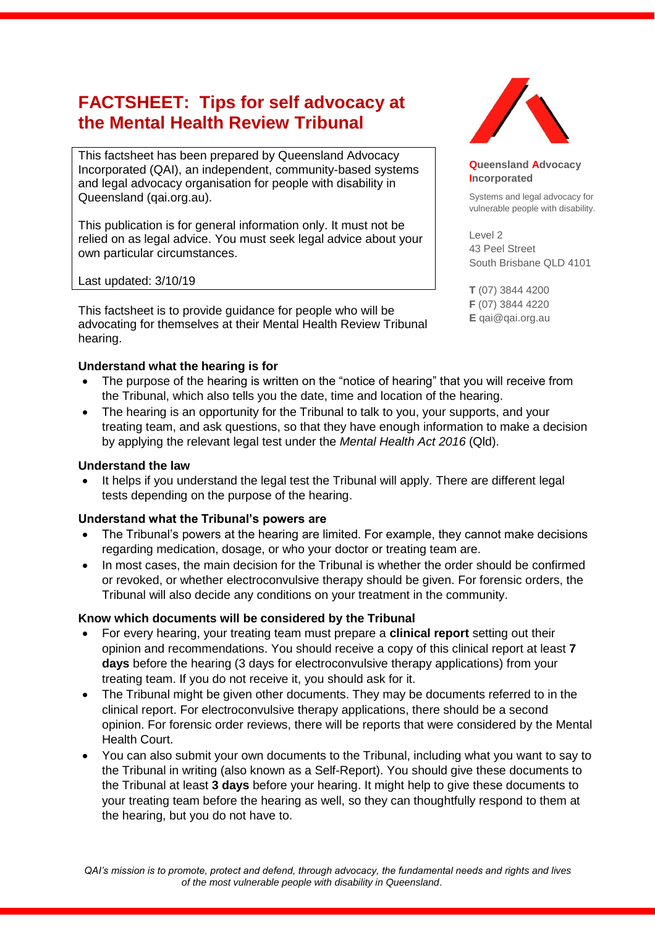# **FACTSHEET: Tips for self advocacy at the Mental Health Review Tribunal**

This factsheet has been prepared by Queensland Advocacy Incorporated (QAI), an independent, community-based systems and legal advocacy organisation for people with disability in Queensland (qai.org.au).

This publication is for general information only. It must not be relied on as legal advice. You must seek legal advice about your own particular circumstances.

Last updated: 3/10/19

This factsheet is to provide guidance for people who will be advocating for themselves at their Mental Health Review Tribunal hearing.

#### **Understand what the hearing is for**

- The purpose of the hearing is written on the "notice of hearing" that you will receive from the Tribunal, which also tells you the date, time and location of the hearing.
- The hearing is an opportunity for the Tribunal to talk to you, your supports, and your treating team, and ask questions, so that they have enough information to make a decision by applying the relevant legal test under the *Mental Health Act 2016* (Qld).

#### **Understand the law**

 It helps if you understand the legal test the Tribunal will apply. There are different legal tests depending on the purpose of the hearing.

#### **Understand what the Tribunal's powers are**

- The Tribunal's powers at the hearing are limited. For example, they cannot make decisions regarding medication, dosage, or who your doctor or treating team are.
- In most cases, the main decision for the Tribunal is whether the order should be confirmed or revoked, or whether electroconvulsive therapy should be given. For forensic orders, the Tribunal will also decide any conditions on your treatment in the community.

#### **Know which documents will be considered by the Tribunal**

- For every hearing, your treating team must prepare a **clinical report** setting out their opinion and recommendations. You should receive a copy of this clinical report at least **7 days** before the hearing (3 days for electroconvulsive therapy applications) from your treating team. If you do not receive it, you should ask for it.
- The Tribunal might be given other documents. They may be documents referred to in the clinical report. For electroconvulsive therapy applications, there should be a second opinion. For forensic order reviews, there will be reports that were considered by the Mental Health Court.
- You can also submit your own documents to the Tribunal, including what you want to say to the Tribunal in writing (also known as a Self-Report). You should give these documents to the Tribunal at least **3 days** before your hearing. It might help to give these documents to your treating team before the hearing as well, so they can thoughtfully respond to them at the hearing, but you do not have to.



**Queensland Advocacy Incorporated** 

Systems and legal advocacy for vulnerable people with disability.

Level 2 43 Peel Street South Brisbane QLD 4101

**T** (07) 3844 4200 **F** (07) 3844 4220 **E** qai@qai.org.au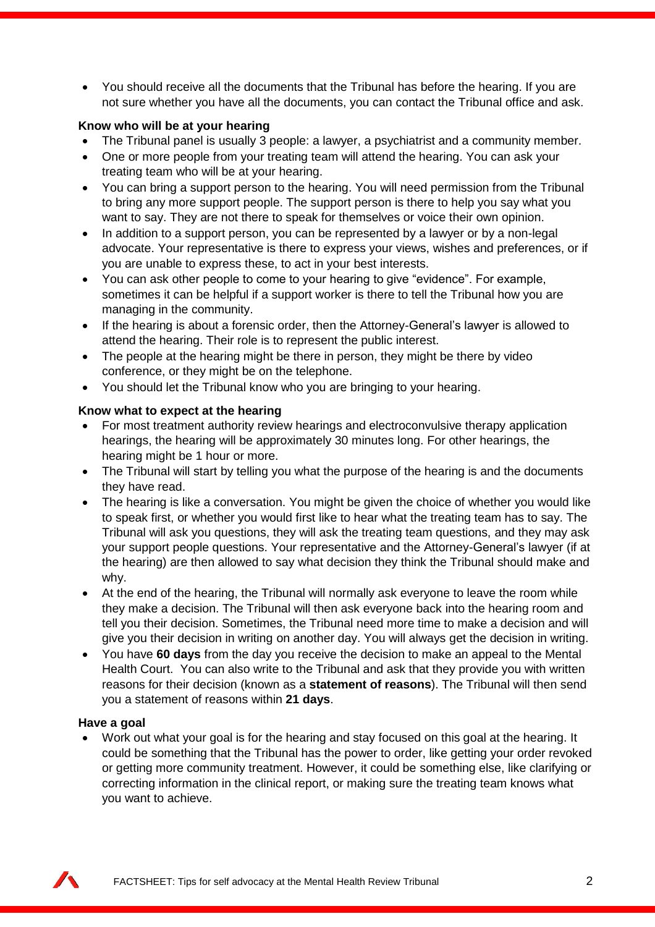You should receive all the documents that the Tribunal has before the hearing. If you are not sure whether you have all the documents, you can contact the Tribunal office and ask.

#### **Know who will be at your hearing**

- The Tribunal panel is usually 3 people: a lawyer, a psychiatrist and a community member.
- One or more people from your treating team will attend the hearing. You can ask your treating team who will be at your hearing.
- You can bring a support person to the hearing. You will need permission from the Tribunal to bring any more support people. The support person is there to help you say what you want to say. They are not there to speak for themselves or voice their own opinion.
- In addition to a support person, you can be represented by a lawyer or by a non-legal advocate. Your representative is there to express your views, wishes and preferences, or if you are unable to express these, to act in your best interests.
- You can ask other people to come to your hearing to give "evidence". For example, sometimes it can be helpful if a support worker is there to tell the Tribunal how you are managing in the community.
- If the hearing is about a forensic order, then the Attorney-General's lawyer is allowed to attend the hearing. Their role is to represent the public interest.
- The people at the hearing might be there in person, they might be there by video conference, or they might be on the telephone.
- You should let the Tribunal know who you are bringing to your hearing.

#### **Know what to expect at the hearing**

- For most treatment authority review hearings and electroconvulsive therapy application hearings, the hearing will be approximately 30 minutes long. For other hearings, the hearing might be 1 hour or more.
- The Tribunal will start by telling you what the purpose of the hearing is and the documents they have read.
- The hearing is like a conversation. You might be given the choice of whether you would like to speak first, or whether you would first like to hear what the treating team has to say. The Tribunal will ask you questions, they will ask the treating team questions, and they may ask your support people questions. Your representative and the Attorney-General's lawyer (if at the hearing) are then allowed to say what decision they think the Tribunal should make and why.
- At the end of the hearing, the Tribunal will normally ask everyone to leave the room while they make a decision. The Tribunal will then ask everyone back into the hearing room and tell you their decision. Sometimes, the Tribunal need more time to make a decision and will give you their decision in writing on another day. You will always get the decision in writing.
- You have **60 days** from the day you receive the decision to make an appeal to the Mental Health Court. You can also write to the Tribunal and ask that they provide you with written reasons for their decision (known as a **statement of reasons**). The Tribunal will then send you a statement of reasons within **21 days**.

#### **Have a goal**

 Work out what your goal is for the hearing and stay focused on this goal at the hearing. It could be something that the Tribunal has the power to order, like getting your order revoked or getting more community treatment. However, it could be something else, like clarifying or correcting information in the clinical report, or making sure the treating team knows what you want to achieve.

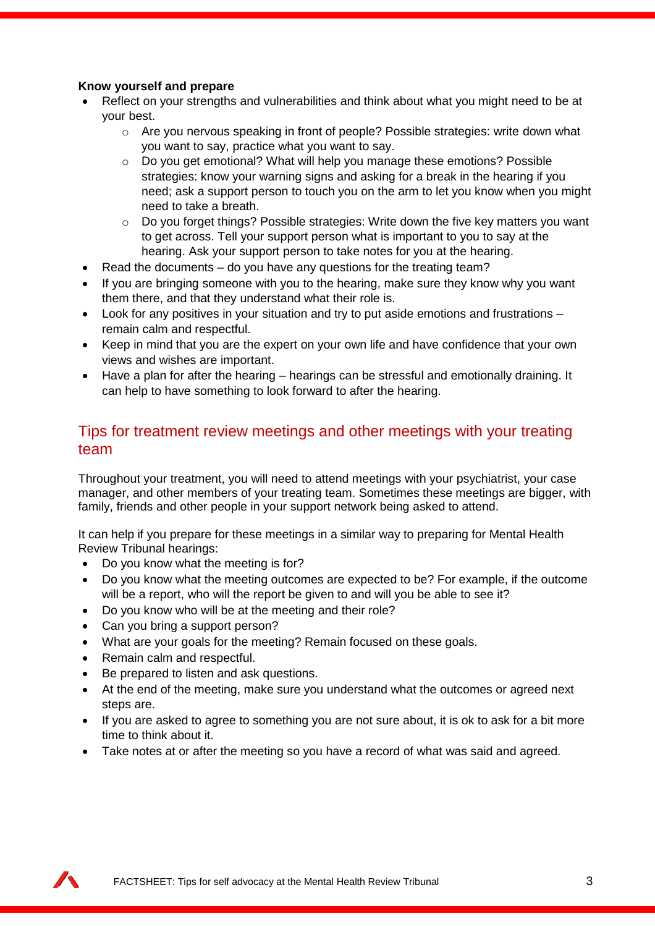#### **Know yourself and prepare**

- Reflect on your strengths and vulnerabilities and think about what you might need to be at your best.
	- $\circ$  Are you nervous speaking in front of people? Possible strategies: write down what you want to say, practice what you want to say.
	- $\circ$  Do you get emotional? What will help you manage these emotions? Possible strategies: know your warning signs and asking for a break in the hearing if you need; ask a support person to touch you on the arm to let you know when you might need to take a breath.
	- o Do you forget things? Possible strategies: Write down the five key matters you want to get across. Tell your support person what is important to you to say at the hearing. Ask your support person to take notes for you at the hearing.
- Read the documents do you have any questions for the treating team?
- If you are bringing someone with you to the hearing, make sure they know why you want them there, and that they understand what their role is.
- Look for any positives in your situation and try to put aside emotions and frustrations remain calm and respectful.
- Keep in mind that you are the expert on your own life and have confidence that your own views and wishes are important.
- Have a plan for after the hearing hearings can be stressful and emotionally draining. It can help to have something to look forward to after the hearing.

### Tips for treatment review meetings and other meetings with your treating team

Throughout your treatment, you will need to attend meetings with your psychiatrist, your case manager, and other members of your treating team. Sometimes these meetings are bigger, with family, friends and other people in your support network being asked to attend.

It can help if you prepare for these meetings in a similar way to preparing for Mental Health Review Tribunal hearings:

- Do you know what the meeting is for?
- Do you know what the meeting outcomes are expected to be? For example, if the outcome will be a report, who will the report be given to and will you be able to see it?
- Do you know who will be at the meeting and their role?
- Can you bring a support person?
- What are your goals for the meeting? Remain focused on these goals.
- Remain calm and respectful.
- Be prepared to listen and ask questions.
- At the end of the meeting, make sure you understand what the outcomes or agreed next steps are.
- If you are asked to agree to something you are not sure about, it is ok to ask for a bit more time to think about it.
- Take notes at or after the meeting so you have a record of what was said and agreed.

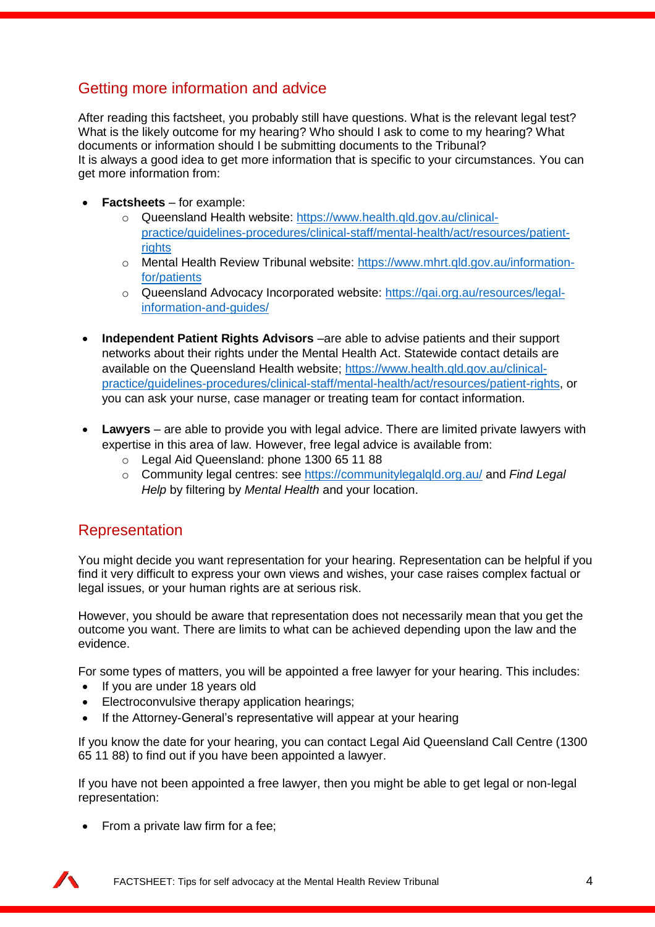# Getting more information and advice

After reading this factsheet, you probably still have questions. What is the relevant legal test? What is the likely outcome for my hearing? Who should I ask to come to my hearing? What documents or information should I be submitting documents to the Tribunal? It is always a good idea to get more information that is specific to your circumstances. You can get more information from:

- **Factsheets** for example:
	- o Queensland Health website: [https://www.health.qld.gov.au/clinical](https://www.health.qld.gov.au/clinical-practice/guidelines-procedures/clinical-staff/mental-health/act/resources/patient-rights)[practice/guidelines-procedures/clinical-staff/mental-health/act/resources/patient](https://www.health.qld.gov.au/clinical-practice/guidelines-procedures/clinical-staff/mental-health/act/resources/patient-rights)[rights](https://www.health.qld.gov.au/clinical-practice/guidelines-procedures/clinical-staff/mental-health/act/resources/patient-rights)
	- o Mental Health Review Tribunal website: [https://www.mhrt.qld.gov.au/information](https://www.mhrt.qld.gov.au/information-for/patients)[for/patients](https://www.mhrt.qld.gov.au/information-for/patients)
	- o Queensland Advocacy Incorporated website: [https://qai.org.au/resources/legal](https://qai.org.au/resources/legal-information-and-guides/)[information-and-guides/](https://qai.org.au/resources/legal-information-and-guides/)
- **Independent Patient Rights Advisors** –are able to advise patients and their support networks about their rights under the Mental Health Act. Statewide contact details are available on the Queensland Health website; [https://www.health.qld.gov.au/clinical](https://www.health.qld.gov.au/clinical-practice/guidelines-procedures/clinical-staff/mental-health/act/resources/patient-rights)[practice/guidelines-procedures/clinical-staff/mental-health/act/resources/patient-rights,](https://www.health.qld.gov.au/clinical-practice/guidelines-procedures/clinical-staff/mental-health/act/resources/patient-rights) or you can ask your nurse, case manager or treating team for contact information.
- **Lawyers** are able to provide you with legal advice. There are limited private lawyers with expertise in this area of law. However, free legal advice is available from:
	- o Legal Aid Queensland: phone 1300 65 11 88
	- o Community legal centres: see<https://communitylegalqld.org.au/> and *Find Legal Help* by filtering by *Mental Health* and your location.

## Representation

You might decide you want representation for your hearing. Representation can be helpful if you find it very difficult to express your own views and wishes, your case raises complex factual or legal issues, or your human rights are at serious risk.

However, you should be aware that representation does not necessarily mean that you get the outcome you want. There are limits to what can be achieved depending upon the law and the evidence.

For some types of matters, you will be appointed a free lawyer for your hearing. This includes:

- If you are under 18 years old
- Electroconvulsive therapy application hearings;
- If the Attorney-General's representative will appear at your hearing

If you know the date for your hearing, you can contact Legal Aid Queensland Call Centre (1300 65 11 88) to find out if you have been appointed a lawyer.

If you have not been appointed a free lawyer, then you might be able to get legal or non-legal representation:

• From a private law firm for a fee;